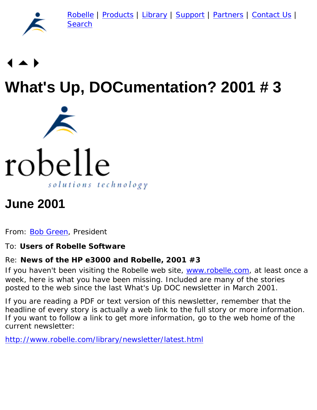[Robelle](http://www.robelle.com/) | [Products](http://www.robelle.com/products/) | [Library](http://www.robelle.com/library/) | [Support](http://www.robelle.com/support/) | [Partners](http://www.robelle.com/partners/) | [Contact Us](http://www.robelle.com/contactus.html) | [Search](http://www.robelle.com/AT-search.html)



# **What's Up, DOCumentation? 2001 # 3**



# **June 2001**

From: [Bob Green,](http://www.robelle.com/robelle.html#bob) President

#### To: **Users of Robelle Software**

#### Re: **News of the HP e3000 and Robelle, 2001 #3**

If you haven't been visiting the Robelle web site, [www.robelle.com](http://www.robelle.com/), at least once a week, here is what you have been missing. Included are many of the stories posted to the web since the last What's Up DOC newsletter in March 2001.

If you are reading a PDF or text version of this newsletter, remember that the headline of every story is actually a web link to the full story or more information. If you want to follow a link to get more information, go to the web home of the current newsletter:

<http://www.robelle.com/library/newsletter/latest.html>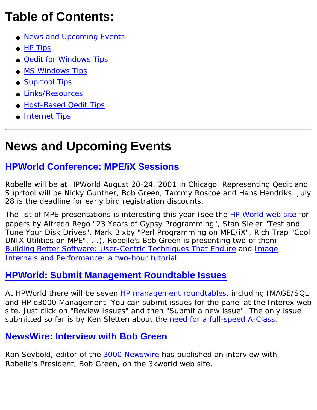# **Table of Contents:**

- [News and Upcoming Events](#page-1-0)
- [HP Tips](#page-5-0)
- [Qedit for Windows Tips](#page-7-0)
- [MS Windows Tips](#page-9-0)
- [Suprtool Tips](#page-10-0)
- [Links/Resources](#page-16-0)
- [Host-Based Qedit Tips](#page-18-0)
- [Internet Tips](#page-20-0)

# <span id="page-1-0"></span>**News and Upcoming Events**

## **[HPWorld Conference: MPE/iX Sessions](http://www.hpworld.com/conference/hpworld2001/sessions/#MPE)**

Robelle will be at HPWorld August 20-24, 2001 in Chicago. Representing Qedit and Suprtool will be Nicky Gunther, Bob Green, Tammy Roscoe and Hans Hendriks. July 28 is the deadline for early bird registration discounts.

The list of MPE presentations is interesting this year (see the [HP World web site](http://www.hpworld.com/conference/hpworld2001/sessions/#MPE) for papers by Alfredo Rego "23 Years of Gypsy Programming", Stan Sieler "Test and Tune Your Disk Drives", Mark Bixby "Perl Programming on MPE/iX", Rich Trap "Cool UNIX Utilities on MPE", ...). Robelle's Bob Green is presenting two of them: *[Building Better Software: User-Centric Techniques That Endure](http://www.hpworld.com/conference/hpworld2001/sessions/sn042/)* and *[Image](http://www.hpworld.com/conference/hpworld2001/sessions/sn077/) [Internals and Performance: a two-hour tutorial](http://www.hpworld.com/conference/hpworld2001/sessions/sn077/)*.

## **[HPWorld: Submit Management Roundtable Issues](http://www.interex.org/advocacy/issues/hpworld2001/bbs_forum.cgi?forum=hp)**

At HPWorld there will be seven [HP management roundtables](http://www.interex.org/conference/hpworld2001/hpw_prog_09.html), including IMAGE/SQL and HP e3000 Management. You can submit issues for the panel at the Interex web site. Just click on "Review Issues" and then "Submit a new issue". The only issue submitted so far is by Ken Sletten about the [need for a full-speed A-Class](http://www.interex.org/advocacy/issues/hpworld2001/bbs_forum.cgi?forum=hp).

## **[NewsWire: Interview with Bob Green](http://www.3kworld.com/newsroom.asp?sit_PK=67&appmode=itemDetail&news_pk=3114)**

Ron Seybold, editor of the [3000 Newswire](http://www.3000newswire.com/) has published an interview with Robelle's President, Bob Green, on the 3kworld web site.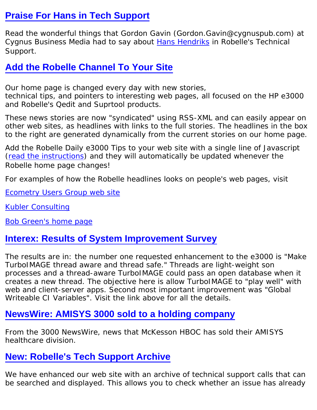#### **[Praise For Hans in Tech Support](http://www.robelle.com/support/welcome.html#praise)**

Read the wonderful things that Gordon Gavin (Gordon.Gavin@cygnuspub.com) at Cygnus Business Media had to say about [Hans Hendriks](http://www.robelle.com/library/newsletter/robelle.html#hans) in Robelle's Technical Support.

## **[Add the Robelle Channel To Your Site](http://www.robelle.com/tips/headlines.html)**

Our home page is changed every day with new stories, technical tips, and pointers to interesting web pages, all focused on the HP e3000 and Robelle's Qedit and Suprtool products.

These news stories are now "syndicated" using RSS-XML and can easily appear on other web sites, as headlines with links to the full stories. The headlines in the box to the right are generated dynamically from the current stories on our home page.

Add the Robelle Daily e3000 Tips to your web site with a single line of Javascript [\(read the instructions](http://www.robelle.com/library/newsletter/tips/headlines.html)) and they will automatically be updated whenever the Robelle home page changes!

For examples of how the Robelle headlines looks on people's web pages, visit

[Ecometry Users Group web site](http://www.ecometry.org/suprtool.htm)

[Kubler Consulting](http://www.kublerconsulting.com/)

[Bob Green's home page](http://bobgreen.net/)

#### **[Interex: Results of System Improvement Survey](http://www.interex.org/advocacy/survey/mpesib01results.html)**

The results are in: the number one requested enhancement to the e3000 is "Make TurboIMAGE thread aware and thread safe." Threads are light-weight son processes and a thread-aware TurboIMAGE could pass an open database when it creates a new thread. The objective here is allow TurboIMAGE to "play well" with web and client-server apps. Second most important improvement was "Global Writeable CI Variables". Visit the link above for all the details.

#### **[NewsWire: AMISYS 3000 sold to a holding company](http://www.3kworld.com/newsroom.asp?appmode=itemDetail&news_PK=3348)**

From the 3000 NewsWire, news that McKesson HBOC has sold their AMISYS healthcare division.

## **[New: Robelle's Tech Support Archive](http://www.robelle.com/AT-kbs.html)**

We have enhanced our web site with an archive of technical support calls that can be searched and displayed. This allows you to check whether an issue has already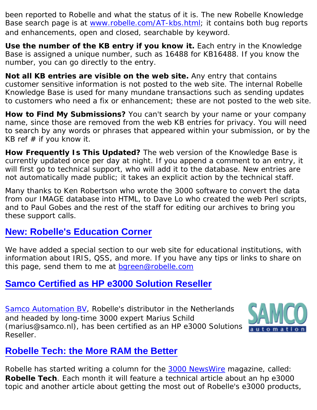been reported to Robelle and what the status of it is. The new Robelle Knowledge Base search page is at [www.robelle.com/AT-kbs.html](http://www.robelle.com/AT-kbs.html); it contains both bug reports and enhancements, open and closed, searchable by keyword.

Use the number of the KB entry if you know it. Each entry in the Knowledge Base is assigned a unique number, such as 16488 for KB16488. If you know the number, you can go directly to the entry.

**Not all KB entries are visible on the web site.** Any entry that contains customer sensitive information is not posted to the web site. The internal Robelle Knowledge Base is used for many mundane transactions such as sending updates to customers who need a fix or enhancement; these are not posted to the web site.

**How to Find My Submissions?** You can't search by your name or your company name, since those are removed from the web KB entries for privacy. You will need to search by any words or phrases that appeared within your submission, or by the KB ref # if you know it.

**How Frequently Is This Updated?** The web version of the Knowledge Base is currently updated once per day at night. If you append a comment to an entry, it will first go to technical support, who will add it to the database. New entries are not automatically made public; it takes an explicit action by the technical staff.

Many thanks to Ken Robertson who wrote the 3000 software to convert the data from our IMAGE database into HTML, to Dave Lo who created the web Perl scripts, and to Paul Gobes and the rest of the staff for editing our archives to bring you these support calls.

#### **[New: Robelle's Education Corner](http://www.robelle.com/edu/)**

We have added a special section to our web site for educational institutions, with information about IRIS, QSS, and more. If you have any tips or links to share on this page, send them to me at [bgreen@robelle.com](mailto:bgreen@robelle.com)

#### **[Samco Certified as HP e3000 Solution Reseller](http://www.samco.nl/)**

[Samco Automation BV,](http://www.samco.nl/) Robelle's distributor in the Netherlands and headed by long-time 3000 expert Marius Schild (marius@samco.nl), has been certified as an HP e3000 Solutions Reseller.



#### **[Robelle Tech: the More RAM the Better](http://www.3000newswire.com/FN-RTechMPE-01May.html)**

Robelle has started writing a column for the **3000 NewsWire** magazine, called: **Robelle Tech**. Each month it will feature a technical article about an hp e3000 topic and another article about getting the most out of Robelle's e3000 products,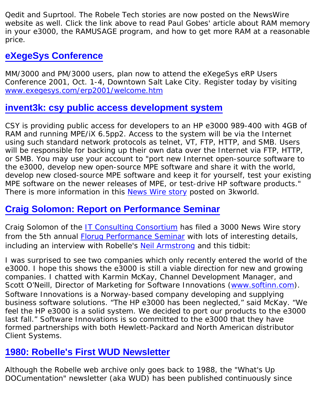Qedit and Suprtool. The Robele Tech stories are now posted on the NewsWire website as well. Click the link above to read Paul Gobes' article about RAM memory in your e3000, the RAMUSAGE program, and how to get more RAM at a reasonable price.

## **[eXegeSys Conference](http://www.exegesys.com/erp2001/welcome.htm)**

MM/3000 and PM/3000 users, plan now to attend the eXegeSys eRP Users Conference 2001, Oct. 1-4, Downtown Salt Lake City. Register today by visiting [www.exegesys.com/erp2001/welcome.htm](http://www.exegesys.com/erp2001/welcome.htm)

#### **[invent3k: csy public access development system](http://jazz.external.hp.com/pads/)**

CSY is providing public access for developers to an HP e3000 989-400 with 4GB of RAM and running MPE/iX 6.5pp2. Access to the system will be via the Internet using such standard network protocols as telnet, VT, FTP, HTTP, and SMB. Users will be responsible for backing up their own data over the Internet via FTP, HTTP, or SMB. You may use your account to "port new Internet open-source software to the e3000, develop new open-source MPE software and share it with the world, develop new closed-source MPE software and keep it for yourself, test your existing MPE software on the newer releases of MPE, or test-drive HP software products." There is more information in this [News Wire story](http://www.3kworld.com/newsroom.asp?appmode=itemDetail&news_PK=3330) posted on 3kworld.

#### **[Craig Solomon: Report on Performance Seminar](http://3kworld.com/newsroom.asp?appmode=itemDetail&news_PK=3102)**

Craig Solomon of the [IT Consulting Consortium](http://www.craigs.com/) has filed a 3000 News Wire story from the 5th annual [Florug Performance Seminar](http://www.robelle.com/tips/5thperf.html) with lots of interesting details, including an interview with Robelle's [Neil Armstrong](http://www.robelle.com/robelle.html#neil) and this tidbit:

*I was surprised to see two companies which only recently entered the world of the e3000. I hope this shows the e3000 is still a viable direction for new and growing companies. I chatted with Karmin McKay, Channel Development Manager, and Scott O'Neill, Director of Marketing for Software Innovations ([www.softinn.com](http://www.softinn.com/)). Software Innovations is a Norway-based company developing and supplying business software solutions. "The HP e3000 has been neglected," said McKay. "We feel the HP e3000 is a solid system. We decided to port our products to the e3000 last fall." Software Innovations is so committed to the e3000 that they have formed partnerships with both Hewlett-Packard and North American distributor Client Systems.*

#### **[1980: Robelle's First WUD Newsletter](http://www.robelle.com/library/newsletter/welcome.html#first)**

Although the Robelle web archive only goes back to 1988, the "What's Up DOCumentation" newsletter (aka WUD) has been published continuously since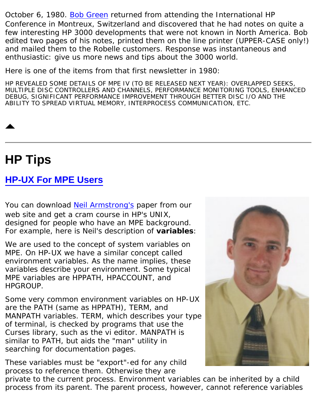October 6, 1980. [Bob Green](http://www.robelle.com/robelle.html#bob) returned from attending the International HP Conference in Montreux, Switzerland and discovered that he had notes on quite a few interesting HP 3000 developments that were not known in North America. Bob edited two pages of his notes, printed them on the line printer (UPPER-CASE only!) and mailed them to the Robelle customers. Response was instantaneous and enthusiastic: give us more news and tips about the 3000 world.

Here is one of the items from that first newsletter in 1980:

HP REVEALED SOME DETAILS OF MPE IV (TO BE RELEASED NEXT YEAR): OVERLAPPED SEEKS, MULTIPLE DISC CONTROLLERS AND CHANNELS, PERFORMANCE MONITORING TOOLS, ENHANCED DEBUG, SIGNIFICANT PERFORMANCE IMPROVEMENT THROUGH BETTER DISC I/O AND THE ABILITY TO SPREAD VIRTUAL MEMORY, INTERPROCESS COMMUNICATION, ETC.

# <span id="page-5-0"></span>**HP Tips**

#### **[HP-UX For MPE Users](http://www.robelle.com/library/tutorials/pdfs/hpuxmpe.pdf)**

You can download [Neil Armstrong's](http://www.robelle.com/robelle.html#neil) paper from our web site and get a cram course in HP's UNIX, designed for people who have an MPE background. For example, here is Neil's description of **variables**:

*We are used to the concept of system variables on MPE. On HP-UX we have a similar concept called environment variables. As the name implies, these variables describe your environment. Some typical MPE variables are HPPATH, HPACCOUNT, and HPGROUP.*

*Some very common environment variables on HP-UX are the PATH (same as HPPATH), TERM, and MANPATH variables. TERM, which describes your type of terminal, is checked by programs that use the Curses library, such as the vi editor. MANPATH is similar to PATH, but aids the "man" utility in searching for documentation pages.*

*These variables must be "export"-ed for any child process to reference them. Otherwise they are*

*private to the current process. Environment variables can be inherited by a child process from its parent. The parent process, however, cannot reference variables*

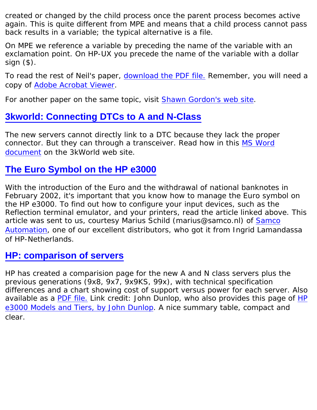*created or changed by the child process once the parent process becomes active again. This is quite different from MPE and means that a child process cannot pass back results in a variable; the typical alternative is a file.*

*On MPE we reference a variable by preceding the name of the variable with an exclamation point. On HP-UX you precede the name of the variable with a dollar sign (\$).*

To read the rest of Neil's paper, [download the PDF file.](http://www.robelle.com/library/tutorials/pdfs/hpuxmpe.pdf) Remember, you will need a copy of [Adobe Acrobat Viewer](http://www.adobe.com/products/acrobat/readstep2.html).

For another paper on the same topic, visit [Shawn Gordon's web site](http://www.smga3000.com/papers/UnixvMPE.htm).

## **[3kworld: Connecting DTCs to A and N-Class](http://www.3kworld.com/newsroom.asp?appmode=itemDetail&news_PK=3124)**

The new servers cannot directly link to a DTC because they lack the proper connector. But they can through a transceiver. Read how in this [MS Word](http://www.3kworld.com/newsroom.asp?appmode=itemDetail&news_PK=3124) [document](http://www.3kworld.com/newsroom.asp?appmode=itemDetail&news_PK=3124) on the 3kWorld web site.

#### **[The Euro Symbol on the HP e3000](http://www.robelle.com/tips/eurosymbol.html)**

With the introduction of the Euro and the withdrawal of national banknotes in February 2002, it's important that you know how to manage the Euro symbol on the HP e3000. To find out how to configure your input devices, such as the Reflection terminal emulator, and your printers, read the article linked above. This article was sent to us, courtesy Marius Schild (marius@samco.nl) of [Samco](http://www.samco.nl/) [Automation](http://www.samco.nl/), one of our excellent distributors, who got it from Ingrid Lamandassa of HP-Netherlands.

#### **[HP: comparison of servers](http://www.hp.com/products1/mpeixservers/servers/prod_comparison/index.html)**

HP has created a comparision page for the new A and N class servers plus the previous generations (9x8, 9x7, 9x9KS, 99x), with technical specification differences and a chart showing cost of support versus power for each server. Also available as a [PDF file.](http://www.hp.com/products1/mpeixservers/info_library/broch/anbroch_59804424.pdf) Link credit: John Dunlop, who also provides this page of [HP](http://www.hp3000links.com/tier.htm) [e3000 Models and Tiers, by John Dunlop](http://www.hp3000links.com/tier.htm). A nice summary table, compact and clear.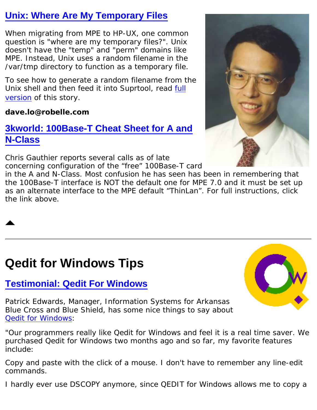## **[Unix: Where Are My Temporary Files](http://www.robelle.com/tips/unix.html)**

When migrating from MPE to HP-UX, one common question is "where are my temporary files?". Unix doesn't have the "temp" and "perm" domains like MPE. Instead, Unix uses a random filename in the /var/tmp directory to function as a temporary file.

To see how to generate a random filename from the Unix shell and then feed it into Suprtool, read [full](http://www.robelle.com/tips/unix.html) [version](http://www.robelle.com/tips/unix.html) of this story.

#### **dave.lo@robelle.com**

## **[3kworld: 100Base-T Cheat Sheet for A and](http://3kworld.com/newsroom.asp?appmode=itemDetail&news_PK=3296) [N-Class](http://3kworld.com/newsroom.asp?appmode=itemDetail&news_PK=3296)**

Chris Gauthier reports several calls as of late concerning configuration of the "free" 100Base-T card

in the A and N-Class. Most confusion he has seen has been in remembering that the 100Base-T interface is NOT the default one for MPE 7.0 and it must be set up as an alternate interface to the MPE default "ThinLan". For full instructions, click the link above.

# <span id="page-7-0"></span>**Qedit for Windows Tips**

## **[Testimonial: Qedit For Windows](http://www.robelle.com/qwin/plugs.html)**

Patrick Edwards, Manager, Information Systems for Arkansas Blue Cross and Blue Shield, has some nice things to say about [Qedit for Windows](http://www.robelle.com/products/qwin/):

*"Our programmers really like Qedit for Windows and feel it is a real time saver. We purchased Qedit for Windows two months ago and so far, my favorite features include:*

*Copy and paste with the click of a mouse. I don't have to remember any line-edit commands.*

*I hardly ever use DSCOPY anymore, since QEDIT for Windows allows me to copy a*



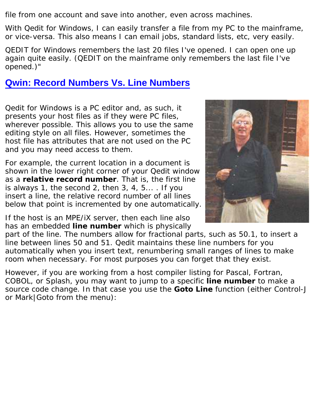*file from one account and save into another, even across machines.*

*With Qedit for Windows, I can easily transfer a file from my PC to the mainframe, or vice-versa. This also means I can email jobs, standard lists, etc, very easily.*

*QEDIT for Windows remembers the last 20 files I've opened. I can open one up again quite easily. (QEDIT on the mainframe only remembers the last file I've opened.)"*

#### **[Qwin: Record Numbers Vs. Line Numbers](http://www.robelle.com/tips/qwin.html#goto)**

Qedit for Windows is a PC editor and, as such, it presents your host files as if they were PC files, wherever possible. This allows you to use the same editing style on all files. However, sometimes the host file has attributes that are not used on the PC and you may need access to them.

For example, the current location in a document is shown in the lower right corner of your Qedit window as a **relative record number**. That is, the first line is always 1, the second 2, then 3, 4, 5... . If you insert a line, the relative record number of all lines below that point is incremented by one automatically.

If the host is an MPE/iX server, then each line also has an embedded **line number** which is physically



part of the line. The numbers allow for fractional parts, such as 50.1, to insert a line between lines 50 and 51. Qedit maintains these line numbers for you automatically when you insert text, renumbering small ranges of lines to make room when necessary. For most purposes you can forget that they exist.

However, if you are working from a host compiler listing for Pascal, Fortran, COBOL, or Splash, you may want to jump to a specific **line number** to make a source code change. In that case you use the **Goto Line** function (either Control-J or Mark|Goto from the menu):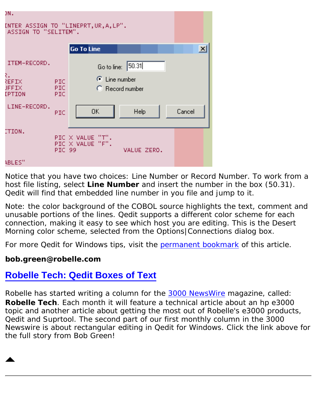| DN.                                                           |                                             |                 |  |  |        |              |
|---------------------------------------------------------------|---------------------------------------------|-----------------|--|--|--------|--------------|
| INTER ASSIGN TO "LINEPRT,UR,A,LP".<br>ASSIGN TO "SELITEM".    |                                             |                 |  |  |        |              |
|                                                               | <b>Go To Line</b>                           |                 |  |  |        | $\mathbf{x}$ |
| ITEM-RECORD.                                                  | Go to line: 50.31                           |                 |  |  |        |              |
| ₹.<br>REFIX<br>PIC.<br>PIC.<br><b>JFFIX</b><br>IPTION<br>PIC. | $\odot$ Line number                         | C Record number |  |  |        |              |
| LINE-RECORD.<br><b>PIC</b>                                    | 0K                                          | Help            |  |  | Cancel |              |
| ITION.<br>PIC 99                                              | $PIC \times VALUE "T".$<br>PIC X VALUE "F". | VALUE ZERO.     |  |  |        |              |
| ABLES"                                                        |                                             |                 |  |  |        |              |

Notice that you have two choices: Line Number or Record Number. To work from a host file listing, select **Line Number** and insert the number in the box (50.31). Qedit will find that embedded line number in you file and jump to it.

Note: the color background of the COBOL source highlights the text, comment and unusable portions of the lines. Qedit supports a different color scheme for each connection, making it easy to see which host you are editing. This is the Desert Morning color scheme, selected from the Options|Connections dialog box.

For more Qedit for Windows tips, visit the [permanent bookmark](http://www.robelle.com/tips/qwin.html#goto) of this article.

#### **bob.green@robelle.com**

#### **[Robelle Tech: Qedit Boxes of Text](http://www.3000newswire.com/FN-RTechRobelle-01May.html)**

<span id="page-9-0"></span>Robelle has started writing a column for the [3000 NewsWire](http://www.3000newswire.com/) magazine, called: **Robelle Tech**. Each month it will feature a technical article about an hp e3000 topic and another article about getting the most out of Robelle's e3000 products, Qedit and Suprtool. The second part of our first monthly column in the *3000 Newswire* is about rectangular editing in Qedit for Windows. Click the link above for the full story from Bob Green!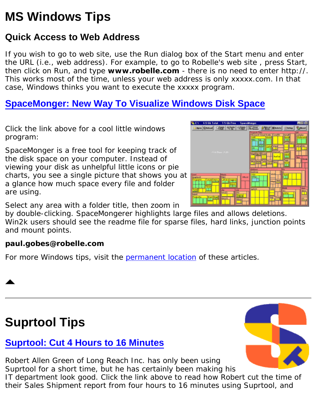# **MS Windows Tips**

## **Quick Access to Web Address**

If you wish to go to web site, use the Run dialog box of the Start menu and enter the URL (i.e., web address). For example, to go to Robelle's web site , press Start, then click on Run, and type **www.robelle.com** - there is no need to enter *http://*. This works most of the time, unless your web address is only xxxxx.com. In that case, Windows thinks you want to execute the xxxxx program.

## **[SpaceMonger: New Way To Visualize Windows Disk Space](http://www.werkema.com/software/spacemonger.html)**

Click the link above for a cool little windows program:

SpaceMonger is a free tool for keeping track of the disk space on your computer. Instead of viewing your disk as unhelpful little icons or pie charts, you see a single picture that shows you at a glance how much space every file and folder are using.

Select any area with a folder title, then zoom in

by double-clicking. SpaceMongerer highlights large files and allows deletions. Win2k users should see the readme file for sparse files, hard links, junction points and mount points.

#### **paul.gobes@robelle.com**

For more Windows tips, visit the [permanent location](http://www.robelle.com/tips/windows.html) of these articles.

# <span id="page-10-0"></span>**Suprtool Tips**

## **[Suprtool: Cut 4 Hours to 16 Minutes](http://www.robelle.com/tips/st-speed2.html)**

Robert Allen Green of Long Reach Inc. has only been using Suprtool for a short time, but he has certainly been making his IT department look good. Click the link above to read how Robert cut the time of their Sales Shipment report from four hours to 16 minutes using Suprtool, and



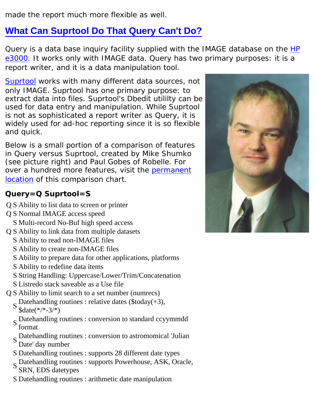made the report much more flexible as well.

## **[What Can Suprtool Do That Query Can't Do?](http://www.robelle.com/tips/st-query.html)**

Query is a data base inquiry facility supplied with the IMAGE database on the [HP](http://www.robelle.com/support/hp3000.html) [e3000.](http://www.robelle.com/support/hp3000.html) It works only with IMAGE data. Query has two primary purposes: it is a report writer, and it is a data manipulation tool.

[Suprtool](http://www.robelle.com/products/suprtool/) works with many different data sources, not only IMAGE. Suprtool has one primary purpose: to extract data into files. Suprtool's Dbedit utililty can be used for data entry and manipulation. While Suprtool is not as sophisticated a report writer as Query, it is widely used for ad-hoc reporting since it is so flexible and quick.

Below is a small portion of a comparison of features in Query versus Suprtool, created by Mike Shumko (see picture right) and Paul Gobes of Robelle. For over a hundred more features, visit the [permanent](http://www.robelle.com/tips/st-query.html) [location](http://www.robelle.com/tips/st-query.html) of this comparison chart.

#### **Query=Q Suprtool=S**

- Q S Ability to list data to screen or printer
- Q S Normal IMAGE access speed S Multi-record No-Buf high speed access
- Q S Ability to link data from multiple datasets
	- S Ability to read non-IMAGE files
	- S Ability to create non-IMAGE files
	- S Ability to prepare data for other applications, platforms
	- S Ability to redefine data items
	- S String Handling: Uppercase/Lower/Trim/Concatenation
	- S Listredo stack saveable as a Use file
- Q S Ability to limit search to a set number (numrecs) S Datehandling routines : relative dates (\$today(+3), \$date(\*/\*-3/\*)
	- $S_{\text{scat}}$  Datehandling routines : conversion to standard ccyymmdd format
	- $S_{\text{S}}$  Datehandling routines : conversion to astromomical 'Julian Date' day number
	- S Datehandling routines : supports 28 different date types
	- S Datehandling routines : supports Powerhouse, ASK, Oracle,
	- SRN, EDS datetypes
	- S Datehandling routines : arithmetic date manipulation

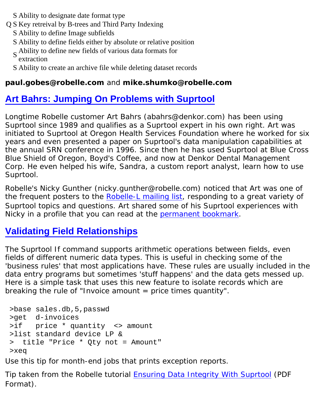- S Ability to designate date format type
- Q S Key retreival by B-trees and Third Party Indexing
	- S Ability to define Image subfields
	- S Ability to define fields either by absolute or relative position
	- <sup>S</sup> Ability to define new fields of various data formats for extraction
	- S Ability to create an archive file while deleting dataset records

#### **paul.gobes@robelle.com** and **mike.shumko@robelle.com**

## **[Art Bahrs: Jumping On Problems with Suprtool](http://www.robelle.com/tips/st-data-problems.html)**

Longtime Robelle customer Art Bahrs (abahrs@denkor.com) has been using Suprtool since 1989 and qualifies as a Suprtool expert in his own right. Art was initiated to Suprtool at Oregon Health Services Foundation where he worked for six years and even presented a paper on Suprtool's data manipulation capabilities at the annual SRN conference in 1996. Since then he has used Suprtool at Blue Cross Blue Shield of Oregon, Boyd's Coffee, and now at Denkor Dental Management Corp. He even helped his wife, Sandra, a custom report analyst, learn how to use Suprtool.

Robelle's Nicky Gunther (nicky.gunther@robelle.com) noticed that Art was one of the frequent posters to the [Robelle-L mailing list](http://forum.robelle.com/), responding to a great variety of Suprtool topics and questions. Art shared some of his Suprtool experiences with Nicky in a profile that you can read at the [permanent bookmark](http://www.robelle.com/tips/st-data-problems.html).

## **[Validating Field Relationships](http://www.robelle.com/tips/suprtool.html#field-relationships)**

The Suprtool If command supports arithmetic operations between fields, even fields of different numeric data types. This is useful in checking some of the 'business rules' that most applications have. These rules are usually included in the data entry programs but sometimes 'stuff happens' and the data gets messed up. Here is a simple task that uses this new feature to isolate records which are breaking the rule of "Invoice amount = price times quantity".

```
 >base sales.db,5,passwd
 >get d-invoices
 >if price * quantity <> amount
 >list standard device LP &
 > title "Price * Qty not = Amount"
 >xeq
```
Use this tip for month-end jobs that prints exception reports.

Tip taken from the Robelle tutorial [Ensuring Data Integrity With Suprtool](http://webdev.robelle.com/library/tutorials/pdfs/datinteg.pdf) (PDF Format).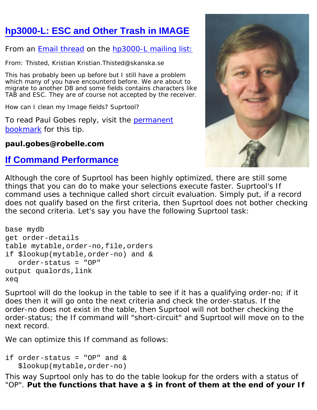## **[hp3000-L: ESC and Other Trash in IMAGE](http://www.robelle.com/tips/suprtool.html#remove-tab)**

#### From an [Email thread](http://optc.com/Webbot/Thread22085.html) on the [hp3000-L mailing list:](http://www.robelle.com/support/hp3000.html#hp3000-l)

From: Thisted, Kristian Kristian.Thisted@skanska.se

This has probably been up before but I still have a problem which many of you have encounterd before. We are about to migrate to another DB and some fields contains characters like TAB and ESC. They are of course not accepted by the receiver.

How can I clean my Image fields? Suprtool?

To read Paul Gobes reply, visit the [permanent](http://www.robelle.com/library/newsletter/remove-tab) [bookmark](http://www.robelle.com/library/newsletter/remove-tab) for this tip.

#### **paul.gobes@robelle.com**

#### **[If Command Performance](http://www.robelle.com/tips/suprtool.html#if-perf)**



Although the core of Suprtool has been highly optimized, there are still some things that you can do to make your selections execute faster. Suprtool's If command uses a technique called short circuit evaluation. Simply put, if a record does not qualify based on the first criteria, then Suprtool does not bother checking the second criteria. Let's say you have the following Suprtool task:

```
base mydb
get order-details
table mytable,order-no,file,orders
if $lookup(mytable,order-no) and &
    order-status = "OP"
output qualords,link
xeq
```
Suprtool will do the lookup in the table to see if it has a qualifying order-no; if it does then it will go onto the next criteria and check the order-status. If the order-no does not exist in the table, then Suprtool will not bother checking the order-status; the If command will "short-circuit" and Suprtool will move on to the next record.

We can optimize this If command as follows:

```
if order-status = "OP" and &
    $lookup(mytable,order-no)
```
This way Suprtool only has to do the table lookup for the orders with a status of "OP". **Put the functions that have a \$ in front of them at the end of your If**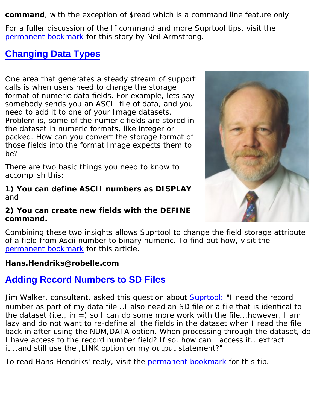**command**, with the exception of \$read which is a command line feature only.

For a fuller discussion of the If command and more Suprtool tips, visit the [permanent bookmark](http://www.robelle.com/tips/suprtool.html#if-perf) for this story by Neil Armstrong.

#### **[Changing Data Types](http://www.robelle.com/tips/st-changetype.html)**

One area that generates a steady stream of support calls is when users need to change the storage format of numeric data fields. For example, lets say somebody sends you an ASCII file of data, and you need to add it to one of your Image datasets. Problem is, some of the numeric fields are stored in the dataset in numeric formats, like integer or packed. How can you convert the storage format of those fields into the format Image expects them to be?

There are two basic things you need to know to accomplish this:

#### **1) You can define ASCII numbers as DISPLAY** and

#### **2) You can create new fields with the DEFINE command.**



Combining these two insights allows Suprtool to change the field storage attribute of a field from Ascii number to binary numeric. To find out how, visit the [permanent bookmark](http://www.robelle.com/tips/st-changetype.html) for this article.

#### **Hans.Hendriks@robelle.com**

#### **[Adding Record Numbers to SD Files](http://www.robelle.com/tips/st-recnum.html)**

Jim Walker, consultant, asked this question about [Suprtool:](http://www.robelle.com/products/suprtool/) *"I need the record number as part of my data file...I also need an SD file or a file that is identical to the dataset (i.e., in =) so I can do some more work with the file...however, I am lazy and do not want to re-define all the fields in the dataset when I read the file back in after using the NUM,DATA option. When processing through the dataset, do I have access to the record number field? If so, how can I access it...extract it...and still use the ,LINK option on my output statement?"*

To read Hans Hendriks' reply, visit the [permanent bookmark](http://www.robelle.com/tips/st-recnum.html) for this tip.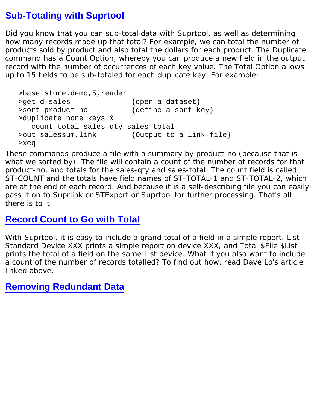#### **[Sub-Totaling with Suprtool](http://www.robelle.com/tips/suprtool.html#subtotal)**

Did you know that you can sub-total data with Suprtool, as well as determining how many records made up that total? For example, we can total the number of products sold by product and also total the dollars for each product. The Duplicate command has a Count Option, whereby you can produce a new field in the output record with the number of occurrences of each key value. The Total Option allows up to 15 fields to be sub-totaled for each duplicate key. For example:

```
 >base store.demo,5,reader
>get d-sales \{open\} a dataset}
>sort product-no {define a sort key}
 >duplicate none keys &
   count total sales-qty sales-total
 >out salessum,link {Output to a link file}
 >xeq
```
These commands produce a file with a summary by product-no (because that is what we sorted by). The file will contain a count of the number of records for that product-no, and totals for the sales-qty and sales-total. The count field is called ST-COUNT and the totals have field names of ST-TOTAL-1 and ST-TOTAL-2, which are at the end of each record. And because it is a self-describing file you can easily pass it on to Suprlink or STExport or Suprtool for further processing. That's all there is to it.

#### **[Record Count to Go with Total](http://www.robelle.com/tips/suprtool.html#recordcount)**

With Suprtool, it is easy to include a grand total of a field in a simple report. List Standard Device XXX prints a simple report on device XXX, and Total \$File \$List prints the total of a field on the same List device. What if you also want to include a count of the number of records totalled? To find out how, read Dave Lo's article linked above.

**[Removing Redundant Data](http://www.robelle.com/tips/suprtool.html#redundant-data)**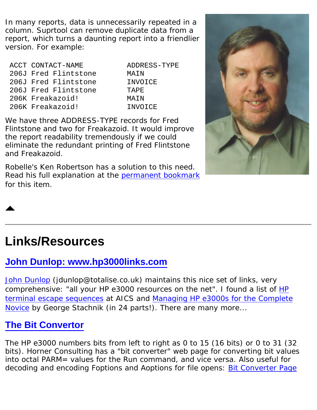In many reports, data is unnecessarily repeated in a column. Suprtool can remove duplicate data from a report, which turns a daunting report into a friendlier version. For example:

| ACCT CONTACT-NAME    | ADDRESS-TYPE |
|----------------------|--------------|
| 206J Fred Flintstone | MAIN         |
| 206J Fred Flintstone | INVOICE      |
| 206J Fred Flintstone | TAPE.        |
| 206K Freakazoid!     | MATN         |
| 206K Freakazoid!     | INVOICE      |

We have three ADDRESS-TYPE records for Fred Flintstone and two for Freakazoid. It would improve the report readability tremendously if we could eliminate the redundant printing of Fred Flintstone and Freakazoid.

Robelle's Ken Robertson has a solution to this need. Read his full explanation at the [permanent bookmark](http://www.robelle.com/tips/suprtool.html#redundant-data) for this item.



# <span id="page-16-0"></span>**Links/Resources**

#### **[John Dunlop: www.hp3000links.com](http://www.hp3000links.com/)**

[John Dunlop](mailto:jdunlop@totalise.co.uk) (jdunlop@totalise.co.uk) maintains this nice set of links, very comprehensive: "all your HP e3000 resources on the net". I found a list of [HP](http://aics-research.com/qcterm/escape.html) [terminal escape sequences](http://aics-research.com/qcterm/escape.html) at AICS and [Managing HP e3000s for the Complete](http://www.interex.org/enterprise/hp3000.html) [Novice](http://www.interex.org/enterprise/hp3000.html) by George Stachnik (in 24 parts!). There are many more...

## **[The Bit Convertor](http://horner.horner.home.mindspring.com/bitc.html)**

The HP e3000 numbers bits from left to right as 0 to 15 (16 bits) or 0 to 31 (32 bits). Horner Consulting has a "bit converter" web page for converting bit values into octal PARM= values for the Run command, and vice versa. Also useful for decoding and encoding Foptions and Aoptions for file opens: [Bit Converter Page](http://horner.horner.home.mindspring.com/bitc.html)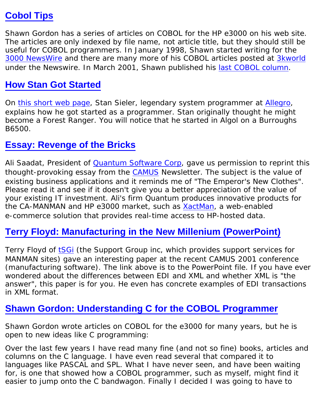#### **[Cobol Tips](http://www.smga3000.com/cobol/)**

Shawn Gordon has a series of articles on COBOL for the HP e3000 on his web site. The articles are only indexed by file name, not article title, but they should still be useful for COBOL programmers. In January 1998, Shawn started writing for the [3000 NewsWire](http://www.3000newswire.com/) and there are many more of his COBOL articles posted at [3kworld](http://3kworld.com/) under the Newswire. In March 2001, Shawn published his [last COBOL column](http://www.3kworld.com/newsroom.asp?sit_PK=67&appmode=itemDetail&news_pk=3108).

#### **[How Stan Got Started](http://www.sieler.com/howstarted.html)**

On [this short web page,](http://www.sieler.com/howstarted.html) Stan Sieler, legendary system programmer at [Allegro](http://www.allegro.com/), explains how he got started as a programmer. Stan originally thought he might become a Forest Ranger. You will notice that he started in Algol on a Burroughs B6500.

#### **[Essay: Revenge of the Bricks](http://www.robelle.com/tips/bricks.html)**

Ali Saadat, President of [Quantum Software Corp,](http://www.quantumleapit.com/) gave us permission to reprint this thought-provoking essay from the **CAMUS** Newsletter. The subject is the value of existing business applications and it reminds me of "The Emperor's New Clothes". Please read it and see if it doesn't give you a better appreciation of the value of your existing IT investment. Ali's firm Quantum produces innovative products for the CA-MANMAN and HP e3000 market, such as [XactMan,](http://www.quantumleapit.com/xactman.htm) a web-enabled e-commerce solution that provides real-time access to HP-hosted data.

## **[Terry Floyd: Manufacturing in the New Millenium \(PowerPoint\)](http://www.supgrp.com/camus2001.ppt)**

Terry Floyd of [tSGi](http://www.supgrp.com/) (the Support Group inc, which provides support services for MANMAN sites) gave an interesting paper at the recent CAMUS 2001 conference (manufacturing software). The link above is to the PowerPoint file. If you have ever wondered about the differences between EDI and XML and whether XML is "the answer", this paper is for you. He even has concrete examples of EDI transactions in XML format.

#### **[Shawn Gordon: Understanding C for the COBOL Programmer](http://www.smga3000.com/papers/Cvcobol.html)**

Shawn Gordon wrote articles on COBOL for the e3000 for many years, but he is open to new ideas like C programming:

*Over the last few years I have read many fine (and not so fine) books, articles and columns on the C language. I have even read several that compared it to languages like PASCAL and SPL. What I have never seen, and have been waiting* for, is one that showed how a COBOL programmer, such as myself, might find it *easier to jump onto the C bandwagon. Finally I decided I was going to have to*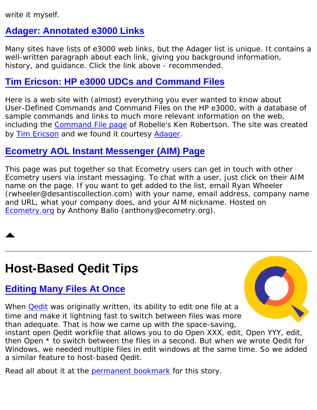*write it myself.*

## **[Adager: Annotated e3000 Links](http://www.adager.com/OffCampusHP3000.html)**

Many sites have lists of e3000 web links, but the Adager list is unique. It contains a well-written paragraph about each link, giving you background information, history, and guidance. Click the link above - recommended.

## **[Tim Ericson: HP e3000 UDCs and Command Files](http://www.fourdiamonds.net/hp3000/commandfiles.html)**

Here is a web site with (almost) everything you ever wanted to know about User-Defined Commands and Command Files on the HP e3000, with a database of sample commands and links to much more relevant information on the web, including the [Command File page](http://www.robelle.com/~ken/CoolSystem.html) of Robelle's Ken Robertson. The site was created by [Tim Ericson](http://www.fourdiamonds.net/hp3000/tim/resume.html) and we found it courtesy [Adager.](http://www.adager.com/OffCampusHP3000.html)

## **[Ecometry AOL Instant Messenger \(AIM\) Page](http://www.ecometry.org/aim.htm)**

This page was put together so that Ecometry users can get in touch with other Ecometry users via instant messaging. To chat with a user, just click on their AIM name on the page. If you want to get added to the list, email Ryan Wheeler (rwheeler@desantiscollection.com) with your name, email address, company name and URL, what your company does, and your AIM nickname. Hosted on [Ecometry.org](http://ecometry.org/) by Anthony Ballo (anthony@ecometry.org).

# <span id="page-18-0"></span>**Host-Based Qedit Tips**

## **[Editing Many Files At Once](http://www.robelle.com/tips/qedit.html#manyfiles)**

When **[Qedit](http://www.robelle.com/products/qedit/)** was originally written, its ability to edit one file at a time and make it lightning fast to switch between files was more than adequate. That is how we came up with the space-saving,

instant open Qedit workfile that allows you to do Open *XXX*, edit, Open *YYY*, edit, then *Open \** to switch between the files in a second. But when we wrote Qedit for Windows, we needed multiple files in edit windows at the same time. So we added a similar feature to host-based Qedit.

Read all about it at the **permanent bookmark** for this story.

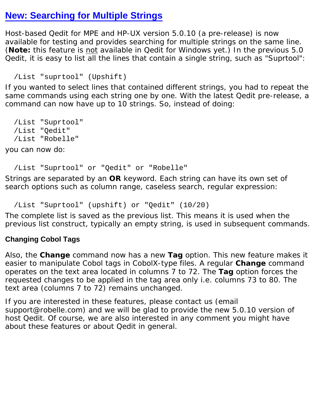#### **[New: Searching for Multiple Strings](http://www.robelle.com/products/qedit/prerelease.html)**

Host-based Qedit for MPE and HP-UX version 5.0.10 (a pre-release) is now available for testing and provides searching for multiple strings on the same line. (**Note:** this feature is not available in Qedit for Windows yet.) In the previous 5.0 Qedit, it is easy to list all the lines that contain a single string, such as "Suprtool":

```
 /List "suprtool" (Upshift)
```
If you wanted to select lines that contained different strings, you had to repeat the same commands using each string one by one. With the latest Qedit pre-release, a command can now have up to 10 strings. So, instead of doing:

```
 /List "Suprtool"
 /List "Qedit"
 /List "Robelle"
```
you can now do:

/List "Suprtool" or "Qedit" or "Robelle"

Strings are separated by an **OR** keyword. Each string can have its own set of search options such as column range, caseless search, regular expression:

/List "Suprtool" (upshift) or "Qedit" (10/20)

The complete list is saved as the previous list. This means it is used when the previous list construct, typically an empty string, is used in subsequent commands.

#### **Changing Cobol Tags**

Also, the **Change** command now has a new **Tag** option. This new feature makes it easier to manipulate Cobol tags in CobolX-type files. A regular **Change** command operates on the text area located in columns 7 to 72. The **Tag** option forces the requested changes to be applied in the tag area only i.e. columns 73 to 80. The text area (columns 7 to 72) remains unchanged.

If you are interested in these features, please contact us (email support@robelle.com) and we will be glad to provide the new 5.0.10 version of host Qedit. Of course, we are also interested in any comment you might have about these features or about Qedit in general.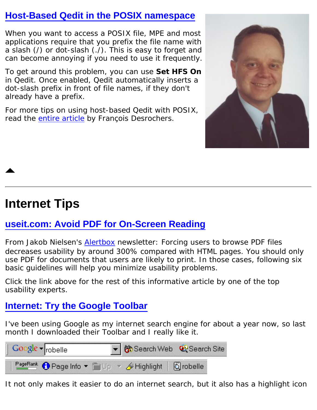#### **[Host-Based Qedit in the POSIX namespace](http://www.robelle.com/support/qedit/posix.html)**

When you want to access a POSIX file, MPE and most applications require that you prefix the file name with a slash  $($   $)$  or dot-slash  $($   $)$ . This is easy to forget and can become annoying if you need to use it frequently.

To get around this problem, you can use **Set HFS On** in Qedit. Once enabled, Qedit automatically inserts a dot-slash prefix in front of file names, if they don't already have a prefix.

For more tips on using host-based Qedit with POSIX, read the [entire article](http://www.robelle.com/support/qedit/posix.html) by François Desrochers.



# <span id="page-20-0"></span>**Internet Tips**

## **[useit.com: Avoid PDF for On-Screen Reading](http://www.useit.com/alertbox/20010610.html)**

From Jakob Nielsen's [Alertbox](http://www.useit.com/alertbox/) newsletter: *Forcing users to browse PDF files decreases usability by around 300% compared with HTML pages. You should only use PDF for documents that users are likely to print. In those cases, following six basic guidelines will help you minimize usability problems.*

Click the link above for the rest of this informative article by one of the top usability experts.

## **[Internet: Try the Google Toolbar](http://toolbar.google.com/)**

I've been using Google as my internet search engine for about a year now, so last month I downloaded their Toolbar and I really like it.



It not only makes it easier to do an internet search, but it also has a highlight icon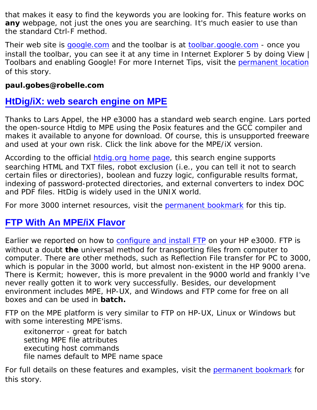that makes it easy to find the keywords you are looking for. This feature works on **any** webpage, not just the ones you are searching. It's much easier to use than the standard Ctrl-F method.

Their web site is [google.com](http://google.com/) and the toolbar is at <u>toolbar.google.com</u> - once you install the toolbar, you can see it at any time in Internet Explorer 5 by doing View | Toolbars and enabling Google! For more Internet Tips, visit the [permanent location](http://www.robelle.com/tips/internet.html) of this story.

#### **paul.gobes@robelle.com**

#### **[HtDig/iX: web search engine on MPE](ftp://ftp.3k.com/POSIX/htdig.htm)**

Thanks to Lars Appel, the HP e3000 has a standard web search engine. Lars ported the open-source Htdig to MPE using the Posix features and the GCC compiler and makes it available to anyone for download. Of course, this is unsupported freeware and used at your own risk. Click the link above for the MPE/iX version.

According to the official [htdig.org home page](http://htdig.org/), this search engine supports searching HTML and TXT files, robot exclusion (i.e., you can tell it not to search certain files or directories), boolean and fuzzy logic, configurable results format, indexing of password-protected directories, and external converters to index DOC and PDF files. HtDig is widely used in the UNIX world.

For more 3000 internet resources, visit the [permanent bookmark](http://www.robelle.com/tips/internet.html#htdig) for this tip.

#### **[FTP With An MPE/iX Flavor](http://www.robelle.com/tips/ftp.html)**

Earlier we reported on how to [configure and install FTP](http://www.robelle.com/tips/ftp.html#first) on your HP e3000. FTP is without a doubt **the** universal method for transporting files from computer to computer. There are other methods, such as Reflection File transfer for PC to 3000, which is popular in the 3000 world, but almost non-existent in the HP 9000 arena. There is Kermit; however, this is more prevalent in the 9000 world and frankly I've never really gotten it to work very successfully. Besides, our development environment includes MPE, HP-UX, and Windows and FTP come for free on all boxes and can be used in **batch.**

FTP on the MPE platform is very similar to FTP on HP-UX, Linux or Windows but with some interesting MPE'isms.

exitonerror - great for batch setting MPE file attributes executing host commands file names default to MPE name space

For full details on these features and examples, visit the [permanent bookmark](http://www.robelle.com/tips/ftp.html) for this story.